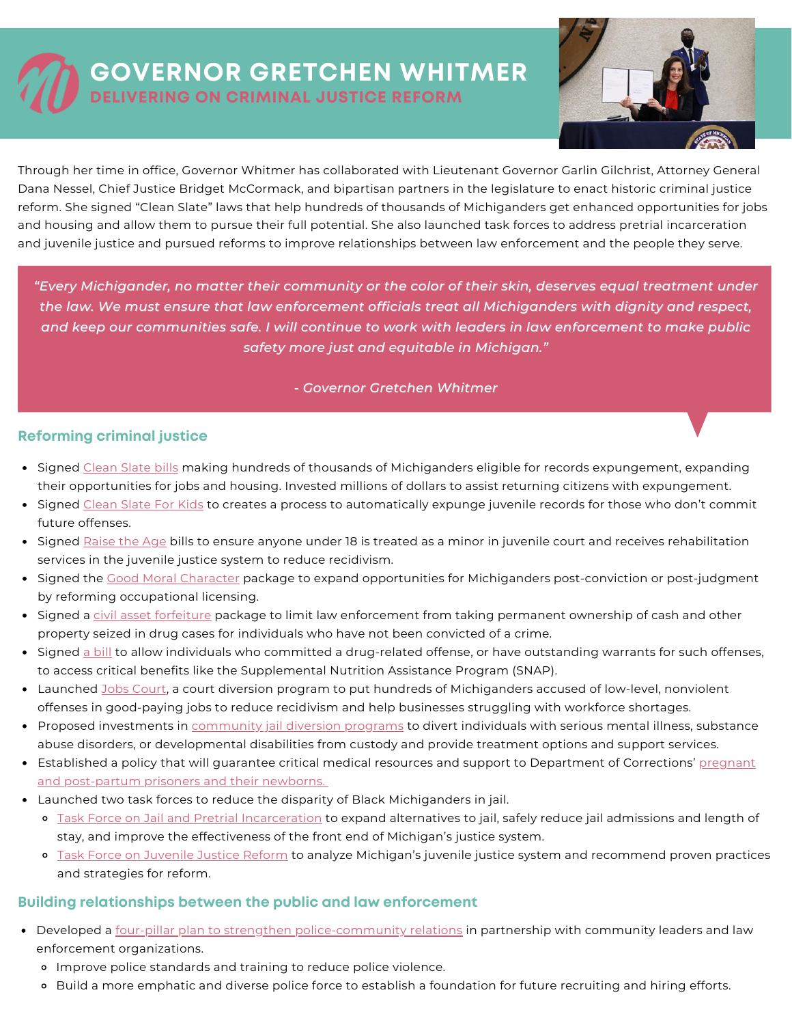## **GOVERNOR GRETCHEN WHITMER DELIVERING ON CRIMINAL JUSTICE REFORM**



Through her time in office, Governor Whitmer has collaborated with Lieutenant Governor Garlin Gilchrist, Attorney General Dana Nessel, Chief Justice Bridget McCormack, and bipartisan partners in the legislature to enact historic criminal justice reform. She signed "Clean Slate" laws that help hundreds of thousands of Michiganders get enhanced opportunities for jobs and housing and allow them to pursue their full potential. She also launched task forces to address pretrial incarceration and juvenile justice and pursued reforms to improve relationships between law enforcement and the people they serve.

*"Every Michigander, no matter their community or the color of their skin, deserves equal treatment under the law. We must ensure that law enforcement officials treat all Michiganders with dignity and respect,* and keep our communities safe. I will continue to work with leaders in law enforcement to make public *safety more just and equitable in Michigan."*

## *- Governor Gretchen Whitmer*

## **Reforming criminal justice**

- Signed [Clean](https://www.michigan.gov/whitmer/0,9309,7-387-90499_90640-542110--,00.html) Slate bills making hundreds of thousands of Michiganders eligible for records expungement, expanding their opportunities for jobs and housing. Invested millions of dollars to assist returning citizens with expungement.
- Signed [Clean](https://www.michigan.gov/whitmer/0,9309,7-387-90499_90640-548712--,00.html) Slate For Kids to creates a process to automatically expunge juvenile records for those who don't commit future offenses.
- Signed [Raise](https://www.michigan.gov/whitmer/0,9309,7-387-90487-511513--,00.html) the Age bills to ensure anyone under 18 is treated as a minor in juvenile court and receives rehabilitation services in the juvenile justice system to reduce recidivism.
- Signed the Good Moral [Character](https://www.michigan.gov/whitmer/0,9309,7-387-90499_90640-548712--,00.html) package to expand opportunities for Michiganders post-conviction or post-judgment by reforming occupational licensing.
- Signed a civil asset [forfeiture](https://www.michigan.gov/whitmer/0,9309,7-387-90499_90640-497114--,00.html) package to limit law enforcement from taking permanent ownership of cash and other property seized in drug cases for individuals who have not been convicted of a crime.
- Signed a [bill](https://www.michigan.gov/whitmer/0,9309,7-387-90499_90640-548712--,00.html) to allow individuals who committed a drug-related offense, or have outstanding warrants for such offenses, to access critical benefits like the Supplemental Nutrition Assistance Program (SNAP).
- Launched Jobs [Court,](https://www.michigan.gov/ag/0,4534,7-359-92297_47203-571826--,00.html) a court diversion program to put hundreds of Michiganders accused of low-level, nonviolent offenses in good-paying jobs to reduce recidivism and help businesses struggling with workforce shortages.
- Proposed investments in [community](https://www.michigan.gov/budget/-/media/Project/Websites/budget/Fiscal/Executive-Budget/Current-Exec-Rec/FY23-Executive-Budget-Book.pdf?rev=77baa8e2690a4f5f8fedeed051f82f44&hash=0258BE9AA95787048F244219ED2E8E72) jail diversion programs to divert individuals with serious mental illness, substance abuse disorders, or developmental disabilities from custody and provide treatment options and support services.
- **Established a policy that will guarantee critical medical resources and support to Department of Corrections' pregnant** and [post-partum](https://www.michigan.gov/whitmer/0,9309,7-387-90499-570831--,00.html) prisoners and their newborns.
- Launched two task forces to reduce the disparity of Black Michiganders in jail.
	- o Task Force on Jail and Pretrial [Incarceration](https://www.michigan.gov/whitmer/0,9309,7-387-90501_90626-531162--,00.html) to expand alternatives to jail, safely reduce jail admissions and length of stay, and improve the effectiveness of the front end of Michigan's justice system.
	- Task Force on [Juvenile](https://www.michigan.gov/whitmer/0,9309,7-387-90499_90640-561541--,00.html) Justice Reform to analyze Michigan's juvenile justice system and recommend proven practices and strategies for reform.

## **Building relationships between the public and law enforcement**

- Developed [a](https://www.michigan.gov/whitmer/0,9309,7-387-90499_90640-533217--,00.html) four-pillar plan to strengthen [police-community](https://www.michigan.gov/whitmer/0,9309,7-387-90499_90640-533217--,00.html) relations in partnership with community leaders and law enforcement organizations.
	- Improve police standards and training to reduce police violence.
	- o Build a more emphatic and diverse police force to establish a foundation for future recruiting and hiring efforts.